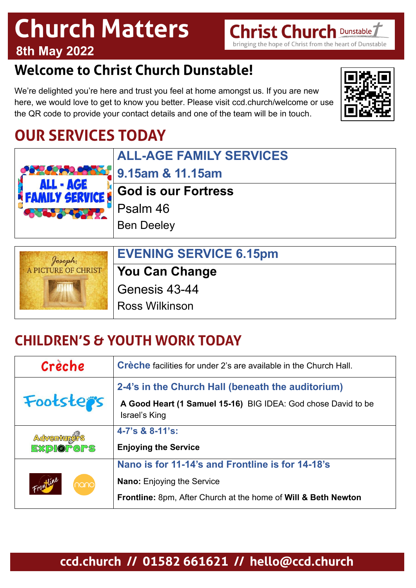## **Church Matters 8th May 2022**

## **Welcome to Christ Church Dunstable!**

We're delighted you're here and trust you feel at home amongst us. If you are new here, we would love to get to know you better. Please visit ccd.church/welcome or use the QR code to provide your contact details and one of the team will be in touch.

## **OUR SERVICES TODAY**

| <b>ALL - AGE</b>           | <b>ALL-AGE FAMILY SERVICES</b>     |
|----------------------------|------------------------------------|
|                            | <b>11.15am</b> 9.15am & 11.15am    |
|                            | FAMILY SERVICE SOO IS OUT FORTNESS |
| <b>AND PROPERTY</b>        | Psalm 46                           |
|                            | <b>Ben Deeley</b>                  |
|                            |                                    |
| Joseph:                    | <b>EVENING SERVICE 6.15pm</b>      |
| <b>A PICTURE OF CHRIST</b> | Vou Can Channe                     |

**You Can Change**

Genesis 43-44

Ross Wilkinson

## **CHILDREN'S & YOUTH WORK TODAY**

| Crèche                          | <b>Crèche</b> facilities for under 2's are available in the Church Hall.                                                                                |
|---------------------------------|---------------------------------------------------------------------------------------------------------------------------------------------------------|
| Footsters                       | 2-4's in the Church Hall (beneath the auditorium)<br>A Good Heart (1 Samuel 15-16) BIG IDEA: God chose David to be<br>Israel's King                     |
| Acventurers<br><b>EXPLOPGPS</b> | $4 - 7$ 's & $8 - 11$ 's:<br><b>Enjoying the Service</b>                                                                                                |
| Frontline<br>nano               | Nano is for 11-14's and Frontline is for 14-18's<br><b>Nano:</b> Enjoying the Service<br>Frontline: 8pm, After Church at the home of Will & Beth Newton |

### **ccd.church // 01582 661621 // hello@ccd.church**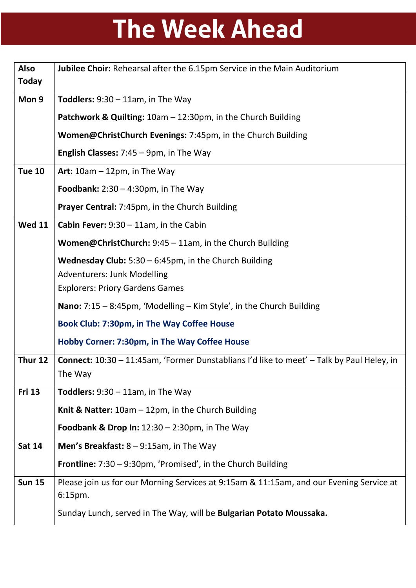# **The Week Ahead**

| <b>Also</b><br><b>Today</b> | Jubilee Choir: Rehearsal after the 6.15pm Service in the Main Auditorium                                    |
|-----------------------------|-------------------------------------------------------------------------------------------------------------|
| Mon 9                       | <b>Toddlers:</b> $9:30 - 11$ am, in The Way                                                                 |
|                             | Patchwork & Quilting: 10am - 12:30pm, in the Church Building                                                |
|                             | Women@ChristChurch Evenings: 7:45pm, in the Church Building                                                 |
|                             | <b>English Classes:</b> $7:45 - 9$ pm, in The Way                                                           |
| <b>Tue 10</b>               | Art: $10am - 12pm$ , in The Way                                                                             |
|                             | Foodbank: $2:30 - 4:30$ pm, in The Way                                                                      |
|                             | <b>Prayer Central:</b> 7:45pm, in the Church Building                                                       |
| <b>Wed 11</b>               | <b>Cabin Fever:</b> $9:30 - 11$ am, in the Cabin                                                            |
|                             | <b>Women@ChristChurch:</b> $9:45 - 11$ am, in the Church Building                                           |
|                             | <b>Wednesday Club:</b> $5:30 - 6:45$ pm, in the Church Building                                             |
|                             | <b>Adventurers: Junk Modelling</b>                                                                          |
|                             | <b>Explorers: Priory Gardens Games</b>                                                                      |
|                             | <b>Nano:</b> $7:15 - 8:45$ pm, 'Modelling – Kim Style', in the Church Building                              |
|                             | Book Club: 7:30pm, in The Way Coffee House                                                                  |
|                             | Hobby Corner: 7:30pm, in The Way Coffee House                                                               |
| Thur 12                     | <b>Connect:</b> 10:30 - 11:45am, 'Former Dunstablians I'd like to meet' - Talk by Paul Heley, in<br>The Way |
| <b>Fri 13</b>               | <b>Toddlers:</b> $9:30 - 11$ am, in The Way                                                                 |
|                             | Knit & Natter: $10am - 12pm$ , in the Church Building                                                       |
|                             | <b>Foodbank &amp; Drop In:</b> $12:30 - 2:30$ pm, in The Way                                                |
| <b>Sat 14</b>               | Men's Breakfast: $8 - 9:15$ am, in The Way                                                                  |
|                             | <b>Frontline:</b> $7:30 - 9:30$ pm, 'Promised', in the Church Building                                      |
| <b>Sun 15</b>               | Please join us for our Morning Services at 9:15am & 11:15am, and our Evening Service at<br>$6:15$ pm.       |
|                             | Sunday Lunch, served in The Way, will be Bulgarian Potato Moussaka.                                         |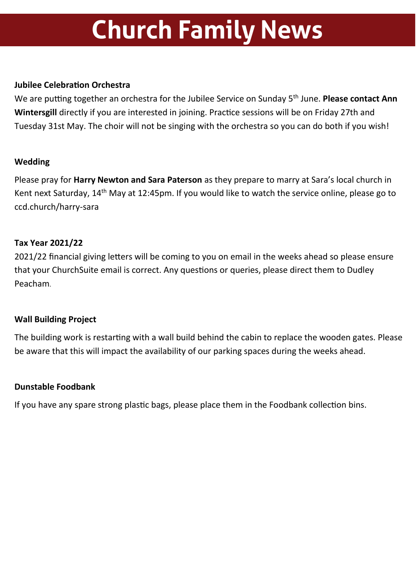## **Church Family News**

#### **Jubilee Celebration Orchestra**

We are putting together an orchestra for the Jubilee Service on Sunday 5<sup>th</sup> June. **Please contact Ann Wintersgill** directly if you are interested in joining. Practice sessions will be on Friday 27th and Tuesday 31st May. The choir will not be singing with the orchestra so you can do both if you wish!

#### **Wedding**

Please pray for **Harry Newton and Sara Paterson** as they prepare to marry at Sara's local church in Kent next Saturday, 14<sup>th</sup> May at 12:45pm. If you would like to watch the service online, please go to ccd.church/harry-sara

#### **Tax Year 2021/22**

2021/22 financial giving letters will be coming to you on email in the weeks ahead so please ensure that your ChurchSuite email is correct. Any questions or queries, please direct them to Dudley Peacham.

#### **Wall Building Project**

The building work is restarting with a wall build behind the cabin to replace the wooden gates. Please be aware that this will impact the availability of our parking spaces during the weeks ahead.

#### **Dunstable Foodbank**

If you have any spare strong plastic bags, please place them in the Foodbank collection bins.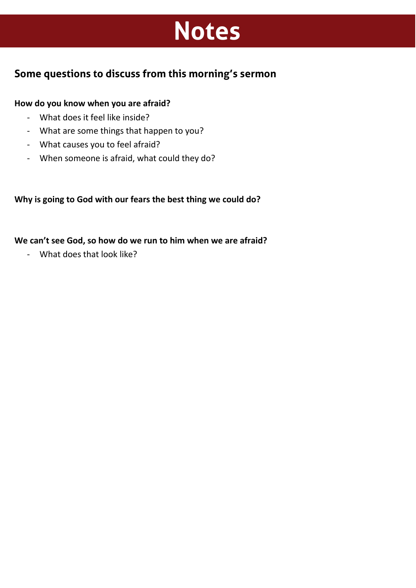## **Notes**

### **Some questions to discuss from this morning's sermon**

#### **How do you know when you are afraid?**

- What does it feel like inside?
- What are some things that happen to you?
- What causes you to feel afraid?
- When someone is afraid, what could they do?

**Why is going to God with our fears the best thing we could do?** 

**We can't see God, so how do we run to him when we are afraid?**

- What does that look like?